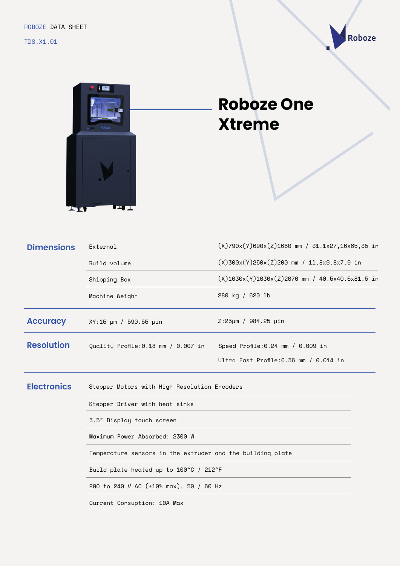TDS.X1.01





## **Roboze One Xtreme**

| <b>Dimensions</b>  | External                                                    | $(X)$ 790x(Y)690x(Z)1660 mm / 31.1x27,16x65,35 in         |  |
|--------------------|-------------------------------------------------------------|-----------------------------------------------------------|--|
|                    | $(X)300x(Y)250x(Z)200$ mm / 11.8x9.8x7.9 in<br>Build volume |                                                           |  |
|                    | Shipping Box                                                | $(X)$ 1030x $(Y)$ 1030x $(Z)$ 2070 mm / 40.5x40.5x81.5 in |  |
|                    | Machine Weight                                              | 280 kg / 620 lb                                           |  |
| <b>Accuracy</b>    | XY:15 µm / 590.55 µin                                       | $Z:25 \mu m / 984.25 \mu in$                              |  |
| <b>Resolution</b>  | Quality Profile:0.18 mm / 0.007 in                          | Speed Profile: $0.24$ mm / $0.009$ in                     |  |
|                    |                                                             | Ultra Fast Profile: 0.36 mm / 0.014 in                    |  |
| <b>Electronics</b> | Stepper Motors with High Resolution Encoders                |                                                           |  |
|                    | Stepper Driver with heat sinks                              |                                                           |  |
|                    | 3.5" Display touch screen                                   |                                                           |  |
|                    | Maximum Power Absorbed: 2300 W                              |                                                           |  |
|                    | Temperature sensors in the extruder and the building plate  |                                                           |  |
|                    | Build plate heated up to 100°C / 212°F                      |                                                           |  |
|                    | 200 to 240 V AC (±10% max), 50 / 60 Hz                      |                                                           |  |

Current Consuption: 10A Max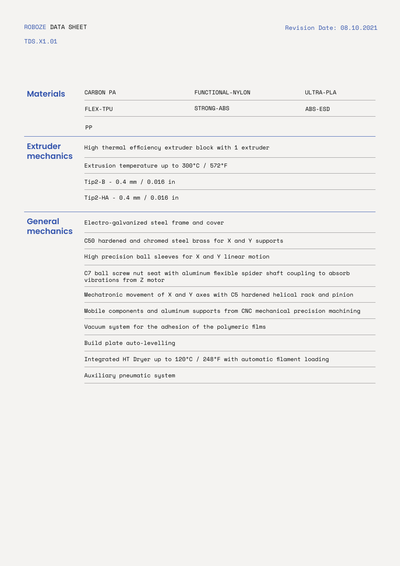TDS.X1.01

| <b>Materials</b>             | CARBON PA                                                                                                | FUNCTIONAL-NYLON | ULTRA-PLA |  |
|------------------------------|----------------------------------------------------------------------------------------------------------|------------------|-----------|--|
|                              | FLEX-TPU                                                                                                 | STRONG-ABS       | ABS-ESD   |  |
|                              | <b>PP</b>                                                                                                |                  |           |  |
| <b>Extruder</b><br>mechanics | High thermal efficiency extruder block with 1 extruder                                                   |                  |           |  |
|                              | Extrusion temperature up to 300°C / 572°F                                                                |                  |           |  |
|                              | Tip2-B - 0.4 mm / 0.016 in                                                                               |                  |           |  |
|                              | Tip2-HA - 0.4 mm / 0.016 in                                                                              |                  |           |  |
| <b>General</b><br>mechanics  | Electro-galvanized steel frame and cover                                                                 |                  |           |  |
|                              | C50 hardened and chromed steel brass for X and Y supports                                                |                  |           |  |
|                              | High precision ball sleeves for X and Y linear motion                                                    |                  |           |  |
|                              | C7 ball screw nut seat with aluminum flexible spider shaft coupling to absorb<br>vibrations from Z motor |                  |           |  |
|                              | Mechatronic movement of X and Y axes with C5 hardened helical rack and pinion                            |                  |           |  |
|                              | Mobile components and aluminum supports from CNC mechanical precision machining                          |                  |           |  |
|                              | Vacuum system for the adhesion of the polymeric films                                                    |                  |           |  |
|                              | Build plate auto-levelling                                                                               |                  |           |  |
|                              | Integrated HT Dryer up to 120°C / 248°F with automatic filament loading                                  |                  |           |  |
|                              | Auxiliary pneumatic system                                                                               |                  |           |  |